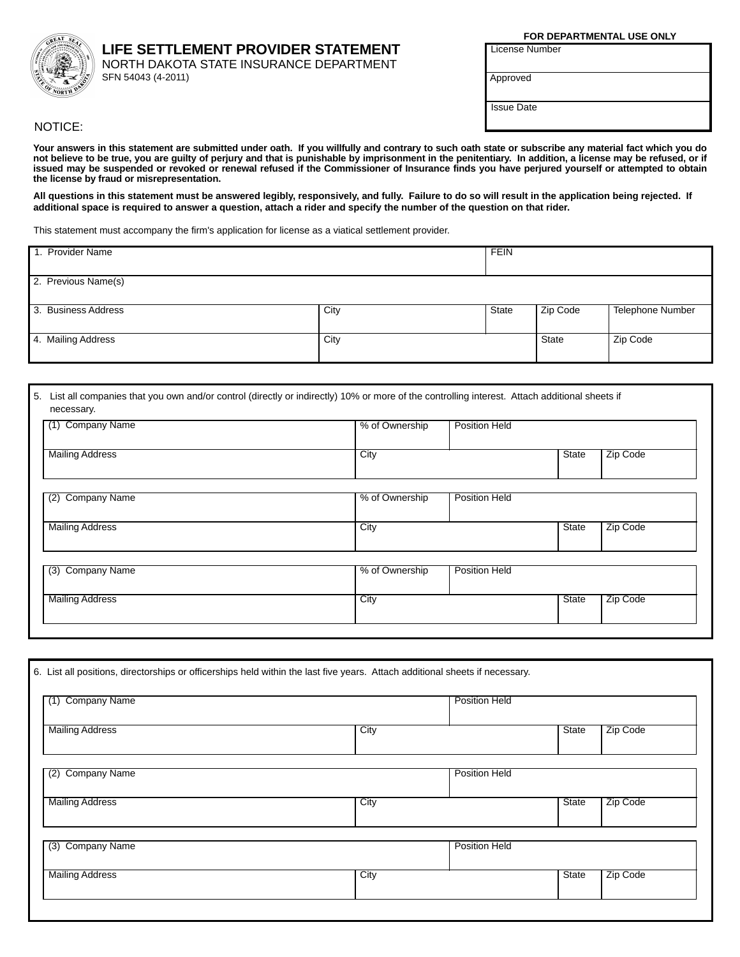## LIFE SETTLEMENT PROVIDER STATEMENT

NORTH DAKOTA STATE INSURANCE DEPARTMENT SFN 54043 (4-2011)

FOR DEPARTMENTAL USE ONLY

**License Number** 

Approved

**Issue Date** 

NOTICE:

Your answers in this statement are submitted under oath. If you willfully and contrary to such oath state or subscribe any material fact which you do not believe to be true, you are guilty of perjury and that is punishable issued may be suspended or revoked or renewal refused if the Commissioner of Insurance finds you have perjured yourself or attempted to obtain the license by fraud or misrepresentation.

All questions in this statement must be answered legibly, responsively, and fully. Failure to do so will result in the application being rejected. If additional space is required to answer a question, attach a rider and specify the number of the question on that rider.

This statement must accompany the firm's application for license as a viatical settlement provider.

| 1. Provider Name    |      | <b>FEIN</b> |              |                         |
|---------------------|------|-------------|--------------|-------------------------|
| 2. Previous Name(s) |      |             |              |                         |
| 3. Business Address | City | State       | Zip Code     | <b>Telephone Number</b> |
| 4. Mailing Address  | City |             | <b>State</b> | Zip Code                |

| 5. List all companies that you own and/or control (directly or indirectly) 10% or more of the controlling interest. Attach additional sheets if |  |
|-------------------------------------------------------------------------------------------------------------------------------------------------|--|
| necessary.                                                                                                                                      |  |

| <b>Company Name</b><br>(1) | % of Ownership | <b>Position Held</b> |              |          |
|----------------------------|----------------|----------------------|--------------|----------|
| <b>Mailing Address</b>     | City           |                      | <b>State</b> | Zip Code |
| <b>Company Name</b><br>(2) | % of Ownership | <b>Position Held</b> |              |          |
| <b>Mailing Address</b>     | City           |                      | <b>State</b> | Zip Code |
| (3) Company Name           | % of Ownership | <b>Position Held</b> |              |          |
| <b>Mailing Address</b>     | City           |                      | <b>State</b> | Zip Code |

| 6. List all positions, directorships or officerships held within the last five years. Attach additional sheets if necessary. |      |                      |          |
|------------------------------------------------------------------------------------------------------------------------------|------|----------------------|----------|
| <b>Company Name</b><br>(1)                                                                                                   |      | <b>Position Held</b> |          |
| <b>Mailing Address</b>                                                                                                       | City | State                | Zip Code |
| <b>Company Name</b><br>(2)                                                                                                   |      | <b>Position Held</b> |          |
| <b>Mailing Address</b>                                                                                                       | City | <b>State</b>         | Zip Code |
| (3) Company Name                                                                                                             |      | <b>Position Held</b> |          |
| <b>Mailing Address</b>                                                                                                       | City | State                | Zip Code |
|                                                                                                                              |      |                      |          |